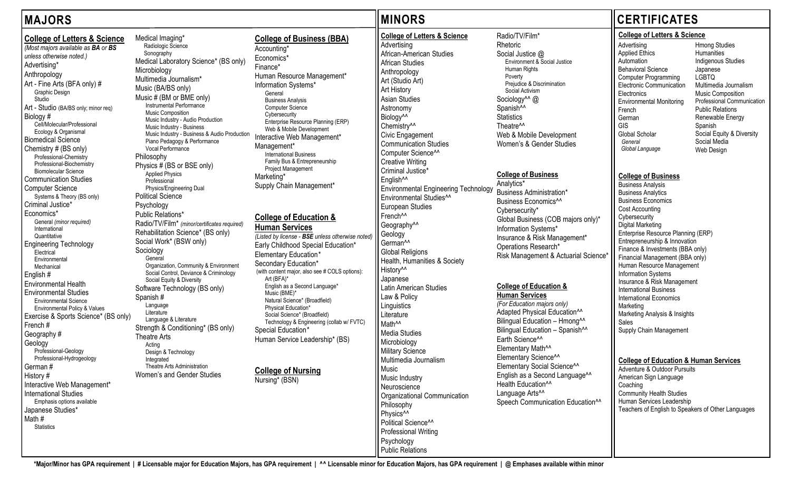**\*Major/Minor has GPA requirement | # Licensable major for Education Majors, has GPA requirement | ^^ Licensable minor for Education Majors, has GPA requirement | @ Emphases available within minor**